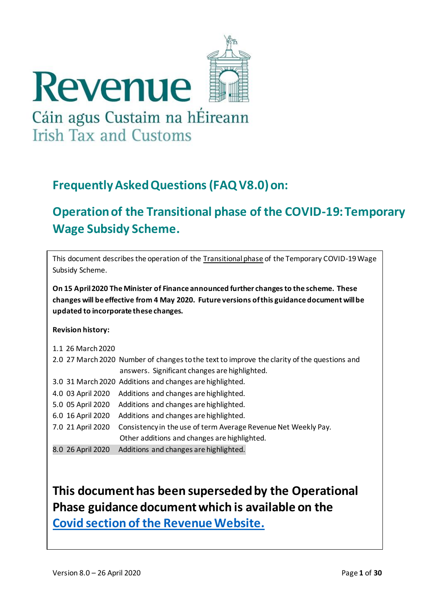

# **Frequently Asked Questions(FAQ V8.0)on:**

# **Operation of the Transitional phase of the COVID-19: Temporary Wage Subsidy Scheme.**

| This document describes the operation of the Transitional phase of the Temporary COVID-19 Wage<br>Subsidy Scheme.                                                                                                                |                                                                                             |  |  |  |  |  |  |  |
|----------------------------------------------------------------------------------------------------------------------------------------------------------------------------------------------------------------------------------|---------------------------------------------------------------------------------------------|--|--|--|--|--|--|--|
| On 15 April 2020 The Minister of Finance announced further changes to the scheme. These<br>changes will be effective from 4 May 2020. Future versions of this guidance document will be<br>updated to incorporate these changes. |                                                                                             |  |  |  |  |  |  |  |
| <b>Revision history:</b>                                                                                                                                                                                                         |                                                                                             |  |  |  |  |  |  |  |
| 1.1 26 March 2020                                                                                                                                                                                                                |                                                                                             |  |  |  |  |  |  |  |
|                                                                                                                                                                                                                                  | 2.0 27 March 2020 Number of changes to the text to improve the clarity of the questions and |  |  |  |  |  |  |  |
|                                                                                                                                                                                                                                  | answers. Significant changes are highlighted.                                               |  |  |  |  |  |  |  |
|                                                                                                                                                                                                                                  | 3.0 31 March 2020 Additions and changes are highlighted.                                    |  |  |  |  |  |  |  |
| 4.0 03 April 2020                                                                                                                                                                                                                | Additions and changes are highlighted.                                                      |  |  |  |  |  |  |  |
| 5.0 05 April 2020                                                                                                                                                                                                                | Additions and changes are highlighted.                                                      |  |  |  |  |  |  |  |
| 6.0 16 April 2020                                                                                                                                                                                                                | Additions and changes are highlighted.                                                      |  |  |  |  |  |  |  |
| 7.0 21 April 2020                                                                                                                                                                                                                | Consistency in the use of term Average Revenue Net Weekly Pay.                              |  |  |  |  |  |  |  |
|                                                                                                                                                                                                                                  | Other additions and changes are highlighted.                                                |  |  |  |  |  |  |  |
| 8.0 26 April 2020                                                                                                                                                                                                                | Additions and changes are highlighted.                                                      |  |  |  |  |  |  |  |
|                                                                                                                                                                                                                                  |                                                                                             |  |  |  |  |  |  |  |
|                                                                                                                                                                                                                                  |                                                                                             |  |  |  |  |  |  |  |
|                                                                                                                                                                                                                                  | This document has been superseded by the Operational                                        |  |  |  |  |  |  |  |
|                                                                                                                                                                                                                                  | Phase guidance document which is available on the                                           |  |  |  |  |  |  |  |
|                                                                                                                                                                                                                                  | <b>Covid section of the Revenue Website.</b>                                                |  |  |  |  |  |  |  |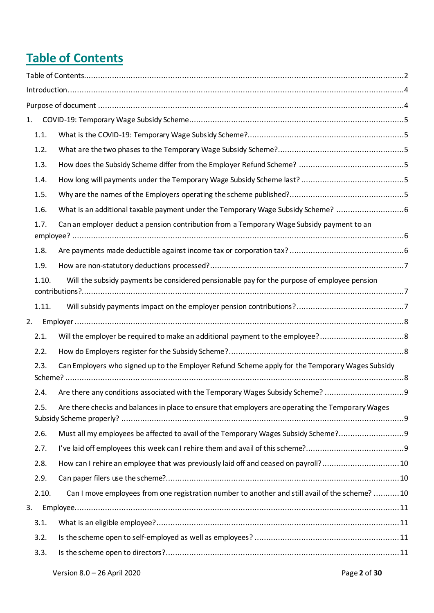# <span id="page-1-0"></span>**Table of Contents**

| 1.    |                                                                                                   |  |
|-------|---------------------------------------------------------------------------------------------------|--|
| 1.1.  |                                                                                                   |  |
| 1.2.  |                                                                                                   |  |
| 1.3.  |                                                                                                   |  |
| 1.4.  |                                                                                                   |  |
| 1.5.  |                                                                                                   |  |
| 1.6.  | What is an additional taxable payment under the Temporary Wage Subsidy Scheme? 6                  |  |
| 1.7.  | Can an employer deduct a pension contribution from a Temporary Wage Subsidy payment to an         |  |
|       |                                                                                                   |  |
| 1.8.  |                                                                                                   |  |
| 1.9.  |                                                                                                   |  |
| 1.10. | Will the subsidy payments be considered pensionable pay for the purpose of employee pension       |  |
| 1.11. |                                                                                                   |  |
| 2.    |                                                                                                   |  |
| 2.1.  |                                                                                                   |  |
| 2.2.  |                                                                                                   |  |
| 2.3.  | Can Employers who signed up to the Employer Refund Scheme apply for the Temporary Wages Subsidy   |  |
| 2.4.  | Are there any conditions associated with the Temporary Wages Subsidy Scheme?                      |  |
| 2.5.  | Are there checks and balances in place to ensure that employers are operating the Temporary Wages |  |
| 2.6.  | Must all my employees be affected to avail of the Temporary Wages Subsidy Scheme?                 |  |
| 2.7.  |                                                                                                   |  |
| 2.8.  | How can I rehire an employee that was previously laid off and ceased on payroll?10                |  |
| 2.9.  |                                                                                                   |  |
| 2.10. | Can I move employees from one registration number to another and still avail of the scheme? 10    |  |
| 3.    |                                                                                                   |  |
| 3.1.  |                                                                                                   |  |
| 3.2.  |                                                                                                   |  |
| 3.3.  |                                                                                                   |  |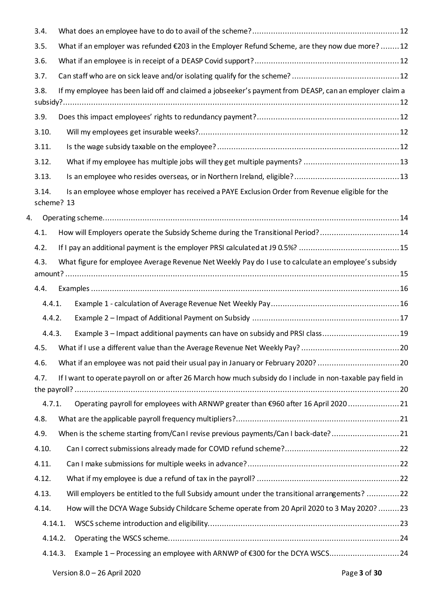|    | 3.4.       |                                                                                                             |  |
|----|------------|-------------------------------------------------------------------------------------------------------------|--|
|    | 3.5.       | What if an employer was refunded €203 in the Employer Refund Scheme, are they now due more? 12              |  |
|    | 3.6.       |                                                                                                             |  |
|    | 3.7.       |                                                                                                             |  |
|    | 3.8.       | If my employee has been laid off and claimed a jobseeker's payment from DEASP, can an employer claim a      |  |
|    |            |                                                                                                             |  |
|    | 3.9.       |                                                                                                             |  |
|    | 3.10.      |                                                                                                             |  |
|    | 3.11.      |                                                                                                             |  |
|    | 3.12.      |                                                                                                             |  |
|    | 3.13.      |                                                                                                             |  |
|    | 3.14.      | Is an employee whose employer has received a PAYE Exclusion Order from Revenue eligible for the             |  |
|    | scheme? 13 |                                                                                                             |  |
| 4. |            |                                                                                                             |  |
|    | 4.1.       | How will Employers operate the Subsidy Scheme during the Transitional Period?14                             |  |
|    | 4.2.       |                                                                                                             |  |
|    | 4.3.       | What figure for employee Average Revenue Net Weekly Pay do I use to calculate an employee's subsidy         |  |
|    |            |                                                                                                             |  |
|    | 4.4.       |                                                                                                             |  |
|    | 4.4.1.     |                                                                                                             |  |
|    | 4.4.2.     |                                                                                                             |  |
|    | 4.4.3.     | Example 3 - Impact additional payments can have on subsidy and PRSI class19                                 |  |
|    | 4.5.       |                                                                                                             |  |
|    | 4.6.       | What if an employee was not paid their usual pay in January or February 2020? 20                            |  |
|    | 4.7.       | If I want to operate payroll on or after 26 March how much subsidy do I include in non-taxable pay field in |  |
|    | 4.7.1.     | Operating payroll for employees with ARNWP greater than €960 after 16 April 2020 21                         |  |
|    | 4.8.       |                                                                                                             |  |
|    | 4.9.       | When is the scheme starting from/Can1 revise previous payments/Can1 back-date?21                            |  |
|    | 4.10.      |                                                                                                             |  |
|    | 4.11.      |                                                                                                             |  |
|    | 4.12.      |                                                                                                             |  |
|    | 4.13.      | Will employers be entitled to the full Subsidy amount under the transitional arrangements? 22               |  |
|    | 4.14.      | How will the DCYA Wage Subsidy Childcare Scheme operate from 20 April 2020 to 3 May 2020? 23                |  |
|    | 4.14.1.    |                                                                                                             |  |
|    | 4.14.2.    |                                                                                                             |  |
|    | 4.14.3.    |                                                                                                             |  |
|    |            |                                                                                                             |  |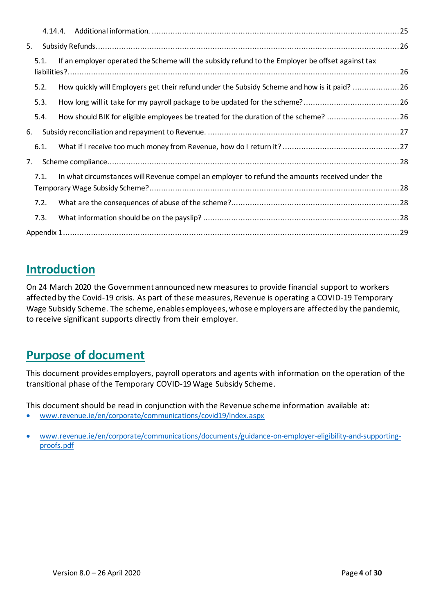| 5. |      |                                                                                                  |  |
|----|------|--------------------------------------------------------------------------------------------------|--|
|    | 5.1. | If an employer operated the Scheme will the subsidy refund to the Employer be offset against tax |  |
|    | 5.2. | How quickly will Employers get their refund under the Subsidy Scheme and how is it paid? 26      |  |
|    | 5.3. |                                                                                                  |  |
|    | 5.4. | How should BIK for eligible employees be treated for the duration of the scheme? 26              |  |
| 6. |      |                                                                                                  |  |
|    | 6.1. |                                                                                                  |  |
| 7. |      |                                                                                                  |  |
|    | 7.1. | In what circumstances will Revenue compel an employer to refund the amounts received under the   |  |
|    | 7.2. |                                                                                                  |  |
|    | 7.3. |                                                                                                  |  |
|    |      |                                                                                                  |  |

# <span id="page-3-0"></span>**Introduction**

On 24 March 2020 the Government announced new measures to provide financial support to workers affected by the Covid-19 crisis. As part of these measures, Revenue is operating a COVID-19 Temporary Wage Subsidy Scheme. The scheme, enables employees, whose employers are affected by the pandemic, to receive significant supports directly from their employer.

# <span id="page-3-1"></span>**Purpose of document**

This document provides employers, payroll operators and agents with information on the operation of the transitional phase of the Temporary COVID-19 Wage Subsidy Scheme.

This document should be read in conjunction with the Revenue scheme information available at:

• [www.revenue.ie/en/corporate/communications/covid19/index.aspx](http://www.revenue.ie/en/corporate/communications/covid19/index.aspx)

<sup>•</sup> [www.revenue.ie/en/corporate/communications/documents/guidance-on-employer-eligibility-and-supporting](http://www.revenue.ie/en/corporate/communications/documents/guidance-on-employer-eligibility-and-supporting-proofs.pdf)[proofs.pdf](http://www.revenue.ie/en/corporate/communications/documents/guidance-on-employer-eligibility-and-supporting-proofs.pdf)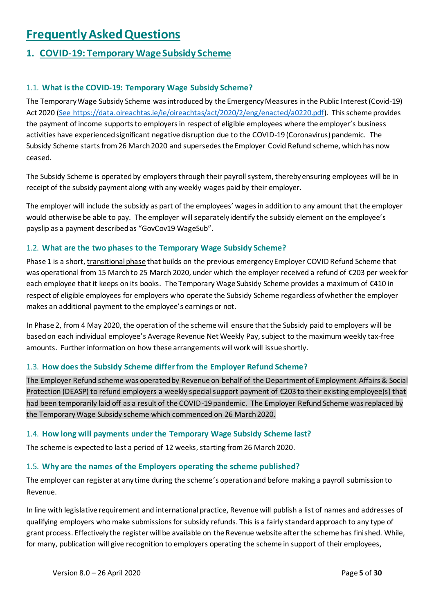# **Frequently Asked Questions**

# <span id="page-4-0"></span>1. **COVID-19: Temporary Wage Subsidy Scheme**

# <span id="page-4-1"></span>1.1. **What is the COVID-19: Temporary Wage Subsidy Scheme?**

The Temporary Wage Subsidy Scheme was introduced by the Emergency Measures in the Public Interest (Covid-19) Act 2020 [\(See https://data.oireachtas.ie/ie/oireachtas/act/2020/2/eng/enacted/a0220.pdf\)](https://data.oireachtas.ie/ie/oireachtas/act/2020/2/eng/enacted/a0220.pdf). This scheme provides the payment of income supports to employers in respect of eligible employees where the employer's business activities have experienced significant negative disruption due to the COVID-19 (Coronavirus) pandemic. The Subsidy Scheme starts from 26 March 2020 and supersedes the Employer Covid Refund scheme, which has now ceased.

The Subsidy Scheme is operated by employers through their payroll system, thereby ensuring employees will be in receipt of the subsidy payment along with any weekly wages paid by their employer.

The employer will include the subsidy as part of the employees' wages in addition to any amount that the employer would otherwise be able to pay. The employer will separately identify the subsidy element on the employee's payslip as a payment described as "GovCov19 WageSub".

# <span id="page-4-2"></span>1.2. **What are the two phases to the Temporary Wage Subsidy Scheme?**

Phase 1 is a short, transitional phase that builds on the previous emergency Employer COVID Refund Scheme that was operational from 15 March to 25 March 2020, under which the employer received a refund of €203 per week for each employee that it keeps on its books. The Temporary Wage Subsidy Scheme provides a maximum of €410 in respect of eligible employees for employers who operate the Subsidy Scheme regardless of whether the employer makes an additional payment to the employee's earnings or not.

In Phase 2, from 4 May 2020, the operation of the scheme will ensure that the Subsidy paid to employers will be based on each individual employee's Average Revenue Net Weekly Pay, subject to the maximum weekly tax-free amounts. Further information on how these arrangements will work will issue shortly.

# <span id="page-4-3"></span>1.3. **How does the Subsidy Scheme differ from the Employer Refund Scheme?**

The Employer Refund scheme was operated by Revenue on behalf of the Department of Employment Affairs & Social Protection (DEASP) to refund employers a weekly special support payment of €203 to their existing employee(s) that had been temporarily laid off as a result of the COVID-19 pandemic. The Employer Refund Scheme was replaced by the Temporary Wage Subsidy scheme which commenced on 26 March 2020.

#### <span id="page-4-4"></span>1.4. **How long will payments under the Temporary Wage Subsidy Scheme last?**

The scheme is expected to last a period of 12 weeks, starting from 26 March 2020.

#### <span id="page-4-5"></span>1.5. **Why are the names of the Employers operating the scheme published?**

The employer can register at any time during the scheme's operationand before making a payroll submissionto Revenue.

In line with legislative requirement and international practice, Revenue will publish a list of names and addresses of qualifying employers who make submissions for subsidy refunds. This is a fairly standard approach to any type of grant process. Effectively the register will be available on the Revenue website after the scheme has finished. While, for many, publication will give recognition to employers operating the scheme in support of their employees,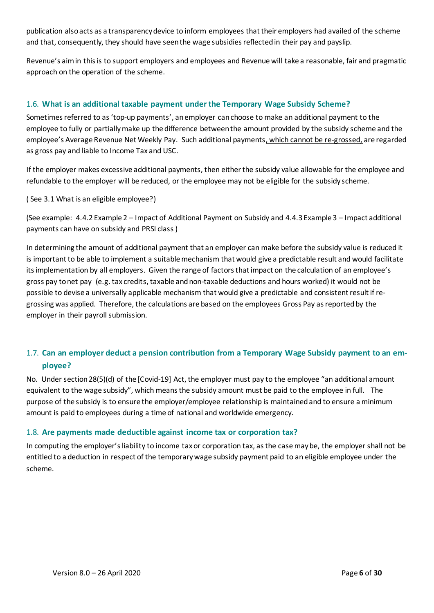publication also acts as a transparency device to inform employees that their employers had availed of the scheme and that, consequently, they should have seen the wage subsidies reflected in their pay and payslip.

Revenue's aim in this is to support employers and employees and Revenue will take a reasonable, fair and pragmatic approach on the operation of the scheme.

# <span id="page-5-0"></span>1.6. **What is an additional taxable payment under the Temporary Wage Subsidy Scheme?**

Sometimes referred to as 'top-up payments', an employer can choose to make an additional payment to the employee to fully or partially make up the difference between the amount provided by the subsidy scheme and the employee's Average Revenue Net Weekly Pay. Such additional payments, which cannot be re-grossed, are regarded as gross pay and liable to Income Tax and USC.

If the employer makes excessive additional payments, then either the subsidy value allowable for the employee and refundable to the employer will be reduced, or the employee may not be eligible for the subsidy scheme.

( See [3.1](#page-10-1) [What is an eligible employee?\)](#page-10-1)

(See example: [4.4.2](#page-16-0) Example 2 – [Impact of Additional Payment on Subsidy](#page-16-0) and [4.4.3](#page-18-0) Example 3 – [Impact additional](#page-18-0)  [payments can have on subsidy and PRSI class](#page-18-0) )

In determining the amount of additional payment that an employer can make before the subsidy value is reduced it is important to be able to implement a suitable mechanism that would give a predictable result and would facilitate its implementation by all employers. Given the range of factors that impact on the calculation of an employee's gross pay to net pay (e.g. tax credits, taxable and non-taxable deductions and hours worked) it would not be possible to devise a universally applicable mechanism that would give a predictable and consistent result if regrossing was applied. Therefore, the calculations are based on the employees Gross Pay as reported by the employer in their payroll submission.

# <span id="page-5-1"></span>1.7. **Can an employer deduct a pension contribution from a Temporary Wage Subsidy payment to an employee?**

No. Under section 28(5)(d) of the [Covid-19] Act, the employer must pay to the employee "an additional amount equivalent to the wage subsidy", which means the subsidy amount must be paid to the employee in full. The purpose of the subsidy is to ensure the employer/employee relationship is maintained and to ensure a minimum amount is paid to employees during a time of national and worldwide emergency.

# <span id="page-5-2"></span>1.8. **Are payments made deductible against income tax or corporation tax?**

In computing the employer's liability to income tax or corporation tax, as the case may be, the employer shall not be entitled to a deduction in respect of the temporary wage subsidy payment paid to an eligible employee under the scheme.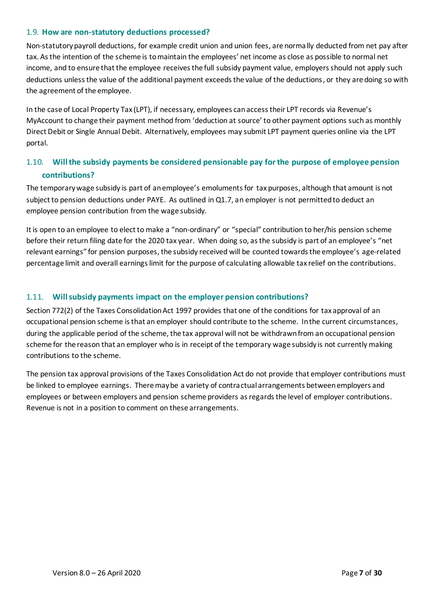#### <span id="page-6-0"></span>1.9. **How are non-statutory deductions processed?**

Non-statutory payroll deductions, for example credit union and union fees, are normally deducted from net pay after tax. As the intention of the scheme is to maintain the employees' net income as close as possible to normal net income, and to ensure that the employee receives the full subsidy payment value, employers should not apply such deductions unless the value of the additional payment exceeds the value of the deductions, or they are doing so with the agreement of the employee.

In the case of Local Property Tax (LPT), if necessary, employees can access their LPT records via Revenue's MyAccount to change their payment method from 'deduction at source' to other payment options such as monthly Direct Debit or Single Annual Debit. Alternatively, employees may submit LPT payment queries online via the LPT portal.

# <span id="page-6-1"></span>1.10. **Will the subsidy payments be considered pensionable pay for the purpose of employee pension contributions?**

The temporary wage subsidy is part of an employee's emoluments for tax purposes, although that amount is not subject to pension deductions under PAYE. As outlined in Q1.7, an employer is not permitted to deduct an employee pension contribution from the wage subsidy.

It is open to an employee to elect to make a "non-ordinary" or "special" contribution to her/his pension scheme before their return filing date for the 2020 tax year. When doing so, as the subsidy is part of an employee's "net relevant earnings" for pension purposes, the subsidy received will be counted towards the employee's age-related percentage limit and overall earnings limit for the purpose of calculating allowable tax relief on the contributions.

# <span id="page-6-2"></span>1.11. **Will subsidy payments impact on the employer pension contributions?**

Section 772(2) of the Taxes Consolidation Act 1997 provides that one of the conditions for tax approval of an occupational pension scheme is that an employer should contribute to the scheme. In the current circumstances, during the applicable period of the scheme, the tax approval will not be withdrawn from an occupational pension scheme for the reason that an employer who is in receipt of the temporary wage subsidy is not currently making contributions to the scheme.

The pension tax approval provisions of the Taxes Consolidation Act do not provide that employer contributions must be linked to employee earnings. There may be a variety of contractual arrangements between employers and employees or between employers and pension scheme providers as regards the level of employer contributions. Revenue is not in a position to comment on these arrangements.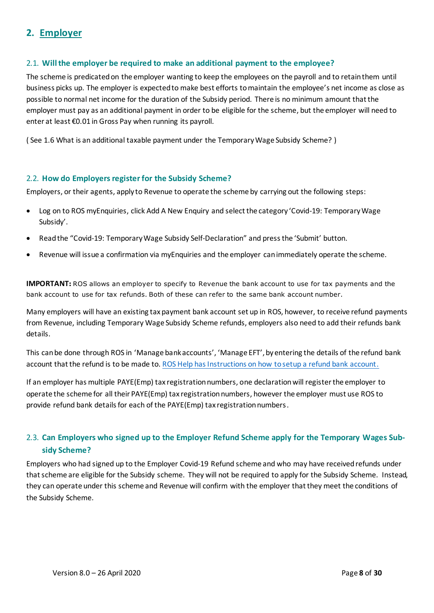# <span id="page-7-0"></span>**2. Employer**

# <span id="page-7-1"></span>2.1. **Will the employer be required to make an additional payment to the employee?**

The scheme is predicated on the employer wanting to keep the employees on the payroll and to retain them until business picks up. The employer is expected to make best efforts to maintain the employee's net income as close as possible to normal net income for the duration of the Subsidy period. There is no minimum amount that the employer must pay as an additional payment in order to be eligible for the scheme, but the employer will need to enter at least €0.01 in Gross Pay when running its payroll.

( See [1.6](#page-5-0) What is an additional taxable payment under [the Temporary Wage Subsidy Scheme?](#page-5-0) )

#### <span id="page-7-2"></span>2.2. **How do Employers register for the Subsidy Scheme?**

Employers, or their agents, apply to Revenue to operate the scheme by carrying out the following steps:

- Log on to ROS myEnquiries, click Add A New Enquiry and select the category 'Covid-19: Temporary Wage Subsidy'.
- Read the "Covid-19: Temporary Wage Subsidy Self-Declaration" and press the 'Submit' button.
- Revenue will issue a confirmation via myEnquiries and the employer can immediately operate the scheme.

**IMPORTANT:** ROS allows an employer to specify to Revenue the bank account to use for tax payments and the bank account to use for tax refunds. Both of these can refer to the same bank account number.

Many employers will have an existing tax payment bank account set up in ROS, however, to receive refund payments from Revenue, including Temporary Wage Subsidy Scheme refunds, employers also need to add their refunds bank details.

This can be done through ROS in 'Manage bank accounts', 'Manage EFT', by entering the details of the refund bank account that the refund is to be made to[. ROS Help has Instructions on how to setup a refund bank account.](https://www.revenue.ie/en/online-services/support/ros-help/using-ros/how-to-set-up-a-refund-account/index.aspx)

If an employer has multiple PAYE(Emp) tax registration numbers, one declaration will register the employer to operate the scheme for all their PAYE(Emp) tax registration numbers, however the employer must use ROS to provide refund bank details for each of the PAYE(Emp) tax registration numbers.

# <span id="page-7-3"></span>2.3. **Can Employers who signed up to the Employer Refund Scheme apply for the Temporary Wages Subsidy Scheme?**

Employers who had signed up to the Employer Covid-19 Refund scheme and who may have received refunds under thatscheme are eligible for the Subsidy scheme. They will not be required to apply for the Subsidy Scheme. Instead, they can operate under this scheme and Revenue will confirm with the employer that they meet the conditions of the Subsidy Scheme.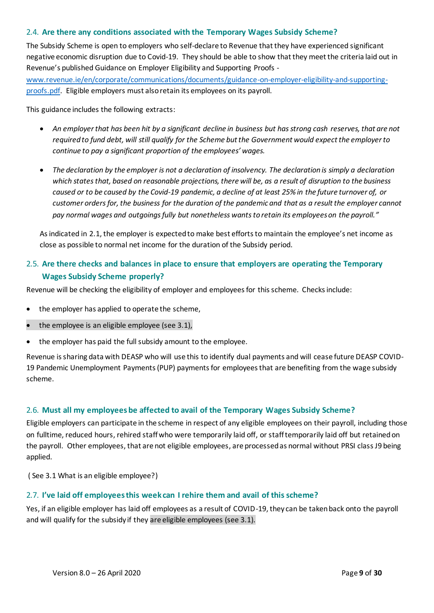# <span id="page-8-0"></span>2.4. **Are there any conditions associated with the Temporary Wages Subsidy Scheme?**

The Subsidy Scheme is open to employers who self-declare to Revenue that they have experienced significant negative economic disruption due to Covid-19. They should be able to show that they meet the criteria laid out in Revenue's published Guidance on Employer Eligibility and Supporting Proofs -

[www.revenue.ie/en/corporate/communications/documents/guidance-on-employer-eligibility-and-supporting](http://www.revenue.ie/en/corporate/communications/documents/guidance-on-employer-eligibility-and-supporting-proofs.pdf)[proofs.pdf.](http://www.revenue.ie/en/corporate/communications/documents/guidance-on-employer-eligibility-and-supporting-proofs.pdf) Eligible employers must also retain its employees on its payroll.

This guidance includes the following extracts:

- *An employer that has been hit by a significant decline in business but has strong cash reserves, that are not required to fund debt, will still qualify for the Scheme but the Government would expect the employer to continue to pay a significant proportion of the employees' wages.*
- *The declaration by the employer is not a declaration of insolvency. The declaration is simply a declaration which states that, based on reasonable projections, there will be, as a result of disruption to the business caused or to be caused by the Covid-19 pandemic, a decline of at least 25% in the future turnover of, or customer orders for, the business for the duration of the pandemic and that as a result the employer cannot pay normal wages and outgoings fully but nonetheless wants to retain its employees on the payroll."*

As indicated in [2.1,](#page-7-1) the employer is expected to make best efforts to maintain the employee's net income as close as possible to normal net income for the duration of the Subsidy period.

# <span id="page-8-1"></span>2.5. **Are there checks and balances in place to ensure that employers are operating the Temporary Wages Subsidy Scheme properly?**

Revenue will be checking the eligibility of employer and employees for this scheme. Checks include:

- the employer has applied to operate the scheme,
- the employee is an eligible employee (see 3.1),
- the employer has paid the full subsidy amount to the employee.

Revenue is sharing data with DEASP who will use this to identify dual payments and will cease future DEASP COVID-19 Pandemic Unemployment Payments (PUP) payments for employees that are benefiting from the wage subsidy scheme.

# <span id="page-8-2"></span>2.6. **Must all my employees be affected to avail of the Temporary Wages Subsidy Scheme?**

Eligible employers can participate in the scheme in respect of any eligible employees on their payroll, including those on fulltime, reduced hours, rehired staff who were temporarily laid off, or staff temporarily laid off but retained on the payroll. Other employees, that are not eligible employees, are processed as normal without PRSI class J9 being applied.

( See [3.1](#page-10-1) [What is an eligible employee?\)](#page-10-1)

#### <span id="page-8-3"></span>2.7. **I've laid off employees this week can I rehire them and avail of this scheme?**

Yes, if an eligible employer has laid off employees as a result of COVID-19, they can be taken back onto the payroll and will qualify for the subsidy if they are eligible employees (see 3.1).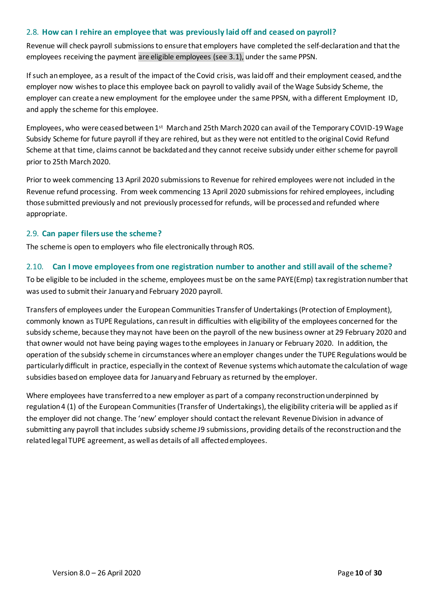#### <span id="page-9-0"></span>2.8. **How can I rehire an employee that was previously laid off and ceased on payroll?**

Revenue will check payroll submissions to ensure that employers have completed the self-declaration and that the employees receiving the payment are eligible employees (see 3.1), under the same PPSN.

If such an employee, as a result of the impact of the Covid crisis, was laid off and their employment ceased, and the employer now wishes to place this employee back on payroll to validly avail of the Wage Subsidy Scheme, the employer can create a new employment for the employee under the same PPSN, with a different Employment ID, and apply the scheme for this employee.

Employees, who were ceased between 1st March and 25th March 2020 can avail of the Temporary COVID-19 Wage Subsidy Scheme for future payroll if they are rehired, but as they were not entitled to the original Covid Refund Scheme at that time, claims cannot be backdated and they cannot receive subsidy under either scheme for payroll prior to 25th March 2020.

Prior to week commencing 13 April 2020 submissions to Revenue for rehired employees were not included in the Revenue refund processing. From week commencing 13 April 2020 submissions for rehired employees, including those submitted previously and not previously processed for refunds, will be processed and refunded where appropriate.

#### <span id="page-9-1"></span>2.9. **Can paper filers use the scheme?**

The scheme is open to employers who file electronically through ROS.

# <span id="page-9-2"></span>2.10. **Can I move employees from one registration number to another and still avail of the scheme?**

To be eligible to be included in the scheme, employees must be on the same PAYE(Emp) tax registration number that was used to submit their January and February 2020 payroll.

Transfers of employees under the European Communities Transfer of Undertakings (Protection of Employment), commonly known as TUPE Regulations, can result in difficulties with eligibility of the employees concerned for the subsidy scheme, because they may not have been on the payroll of the new business owner at 29 February 2020 and that owner would not have being paying wages to the employees in January or February 2020. In addition, the operation of the subsidy scheme in circumstances where an employer changes under the TUPE Regulations would be particularly difficult in practice, especially in the context of Revenue systems which automate the calculation of wage subsidies based on employee data for January and February as returned by the employer.

Where employees have transferred to a new employer as part of a company reconstruction underpinned by regulation 4 (1) of the European Communities (Transfer of Undertakings), the eligibility criteria will be applied as if the employer did not change. The 'new' employer should contact the relevant Revenue Division in advance of submitting any payroll that includes subsidy scheme J9 submissions, providing details of the reconstruction and the related legal TUPE agreement, as well as details of all affected employees.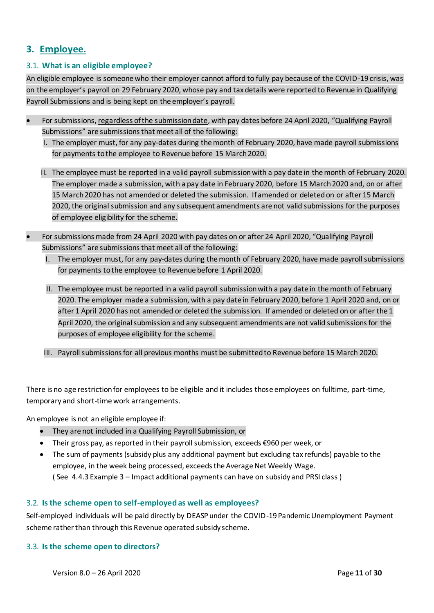# <span id="page-10-0"></span>**3. Employee.**

# <span id="page-10-1"></span>3.1. **What is an eligible employee?**

An eligible employee is someone who their employer cannot afford to fully pay because of the COVID-19 crisis, was on the employer's payroll on 29 February 2020, whose pay and tax details were reported to Revenue in Qualifying Payroll Submissions and is being kept on the employer's payroll.

- For submissions, regardless of the submission date, with pay dates before 24 April 2020, "Qualifying Payroll Submissions" are submissions that meet all of the following:
	- I. The employer must, for any pay-dates during the month of February 2020, have made payroll submissions for payments to the employee to Revenue before 15 March 2020.
	- II. The employee must be reported in a valid payroll submission with a pay date in the month of February 2020. The employer made a submission, with a pay date in February 2020, before 15 March 2020 and, on or after 15 March 2020 has not amended or deleted the submission. If amended or deleted on or after 15 March 2020, the original submission and any subsequent amendments are not valid submissions for the purposes of employee eligibility for the scheme.
- For submissions made from 24 April 2020 with pay dates on or after 24 April 2020, "Qualifying Payroll Submissions" are submissions that meet all of the following:
	- I. The employer must, for any pay-dates during the month of February 2020, have made payroll submissions for payments to the employee to Revenue before 1 April 2020.
	- II. The employee must be reported in a valid payroll submission with a pay date in the month of February 2020. The employer made a submission, with a pay date in February 2020, before 1 April 2020 and, on or after 1 April 2020 has not amended or deleted the submission. If amended or deleted on or after the 1 April 2020, the original submission and any subsequent amendments are not valid submissions for the purposes of employee eligibility for the scheme.
	- III. Payroll submissions for all previous months must be submitted to Revenue before 15 March 2020.

There is no age restriction for employees to be eligible and it includes those employees on fulltime, part-time, temporary and short-time work arrangements.

An employee is not an eligible employee if:

- They are not included in a Qualifying Payroll Submission, or
- Their gross pay, as reported in their payroll submission, exceeds €960 per week, or
- The sum of payments (subsidy plus any additional payment but excluding tax refunds) payable to the employee, in the week being processed, exceeds the Average Net Weekly Wage. ( See [4.4.3](#page-18-0) Example 3 – [Impact additional payments can have on subsidy and PRSI class](#page-18-0) )

# <span id="page-10-2"></span>3.2. **Is the scheme open to self-employed as well as employees?**

Self-employed individuals will be paid directly by DEASP under the COVID-19 Pandemic Unemployment Payment scheme rather than through this Revenue operated subsidy scheme.

# <span id="page-10-3"></span>3.3. **Is the scheme open to directors?**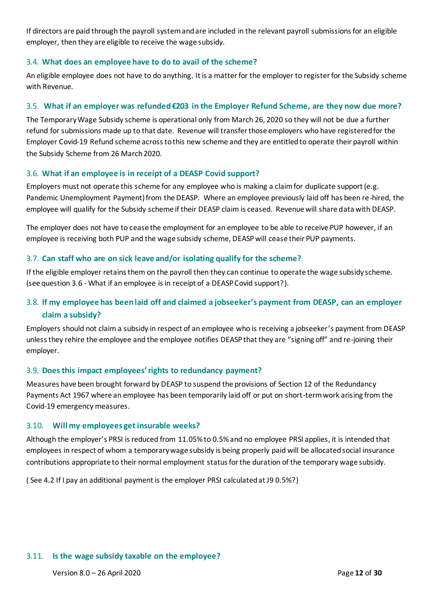If directors are paid through the payroll system and are included in the relevant payroll submissions for an eligible employer, then they are eligible to receive the wage subsidy.

# <span id="page-11-0"></span>3.4. **What does an employee have to do to avail of the scheme?**

An eligible employee does not have to do anything. It is a matter for the employer to register for the Subsidy scheme with Revenue.

#### <span id="page-11-1"></span>3.5. **What if an employer was refunded €203 in the Employer Refund Scheme, are they now due more?**

The Temporary Wage Subsidy scheme is operational only from March 26, 2020 so they will not be due a further refund for submissions made up to that date. Revenue will transfer those employers who have registered for the Employer Covid-19 Refund scheme across to this new scheme and they are entitled to operate their payroll within the Subsidy Scheme from 26 March 2020.

#### <span id="page-11-2"></span>3.6. **What if an employee is in receipt of a DEASP Covid support?**

Employers must not operate this scheme for any employee who is making a claim for duplicate support (e.g. Pandemic Unemployment Payment) from the DEASP. Where an employee previously laid off has been re-hired, the employee will qualify for the Subsidy scheme if their DEASP claim is ceased. Revenue will share data with DEASP.

The employer does not have to cease the employment for an employee to be able to receive PUP however, if an employee is receiving both PUP and the wage subsidy scheme, DEASP will cease their PUP payments.

#### <span id="page-11-3"></span>3.7. **Can staff who are on sick leave and/or isolating qualify for the scheme?**

If the eligible employer retains them on the payroll then they can continue to operate the wage subsidy scheme. (see questio[n 3.6](#page-11-2) - [What if an employee is in receipt of a DEASP Covid support?\)](#page-11-2).

# <span id="page-11-4"></span>3.8. **If my employee has been laid off and claimed a jobseeker's payment from DEASP, can an employer claim a subsidy?**

Employers should not claim a subsidy in respect of an employee who is receiving a jobseeker's payment from DEASP unless they rehire the employee and the employee notifies DEASP that they are "signing off" and re-joining their employer.

#### <span id="page-11-5"></span>3.9. **Does this impact employees' rights to redundancy payment?**

Measures have been brought forward by DEASP to suspend the provisions of Section 12 of the Redundancy Payments Act 1967 where an employee has been temporarily laid off or put on short-term work arising from the Covid-19 emergency measures.

#### <span id="page-11-6"></span>3.10. **Will my employees get insurable weeks?**

Although the employer's PRSI is reduced from 11.05% to 0.5% and no employee PRSI applies, it is intended that employees in respect of whom a temporary wage subsidy is being properly paid will be allocated social insurance contributions appropriate to their normal employment status for the duration of the temporary wage subsidy.

( See [4.2](#page-14-0) [If I pay an additional payment is the employer PRSI calculated at J9 0.5%?](#page-14-0))

#### <span id="page-11-7"></span>3.11. **Is the wage subsidy taxable on the employee?**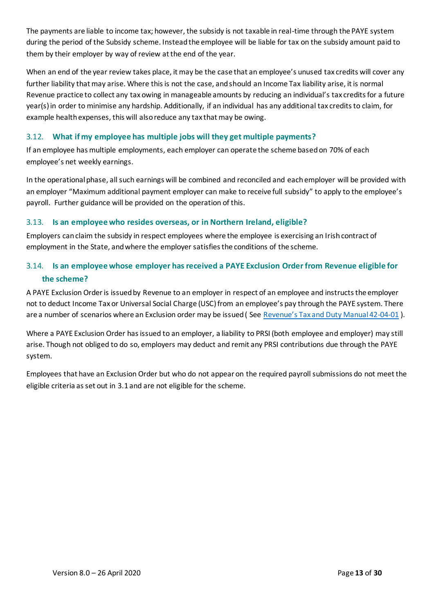The payments are liable to income tax; however, the subsidy is not taxable in real-time through the PAYE system during the period of the Subsidy scheme. Instead the employee will be liable for tax on the subsidy amount paid to them by their employer by way of review at the end of the year.

When an end of the year review takes place, it may be the case that an employee's unused tax credits will cover any further liability that may arise. Where this is not the case, and should an Income Tax liability arise, it is normal Revenue practice to collect any tax owing in manageable amounts by reducing an individual's tax credits for a future year(s) in order to minimise any hardship. Additionally, if an individual has any additional tax credits to claim, for example health expenses, this will also reduce any tax that may be owing.

# <span id="page-12-0"></span>3.12. **What if my employee has multiple jobs will they get multiple payments?**

If an employee has multiple employments, each employer can operate the scheme based on 70% of each employee's net weekly earnings.

In the operational phase, all such earnings will be combined and reconciled and each employer will be provided with an employer "Maximum additional payment employer can make to receive full subsidy" to apply to the employee's payroll. Further guidance will be provided on the operation of this.

# <span id="page-12-1"></span>3.13. **Is an employee who resides overseas, or in Northern Ireland, eligible?**

Employers can claim the subsidy in respect employees where the employee is exercising an Irish contract of employment in the State, and where the employer satisfies the conditions of the scheme.

# <span id="page-12-2"></span>3.14. **Is an employee whose employer has received a PAYE Exclusion Order from Revenue eligible for the scheme?**

A PAYE Exclusion Order is issued by Revenue to an employer in respect of an employee and instructs the employer not to deduct Income Tax or Universal Social Charge (USC) from an employee's pay through the PAYE system. There are a number of scenarios where an Exclusion order may be issued ( See [Revenue's Tax and Duty Manual 42](https://www.revenue.ie/en/tax-professionals/tdm/income-tax-capital-gains-tax-corporation-tax/part-42/42-04-01.pdf)-04-01 ).

Where a PAYE Exclusion Order has issued to an employer, a liability to PRSI (both employee and employer) may still arise. Though not obliged to do so, employers may deduct and remit any PRSI contributions due through the PAYE system.

Employees that have an Exclusion Order but who do not appear on the required payroll submissions do not meet the eligible criteria as set out in 3.1 and are not eligible for the scheme.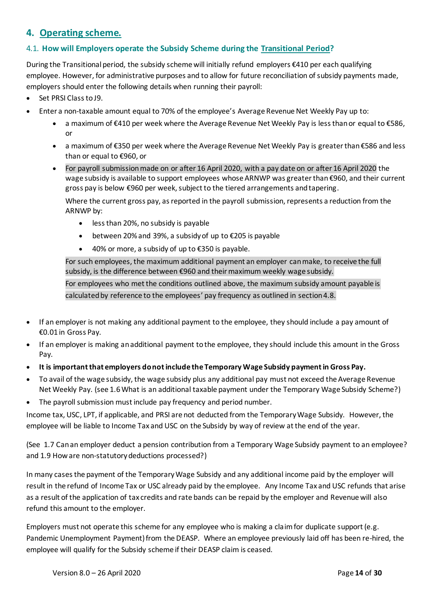# <span id="page-13-0"></span>**4. Operating scheme.**

# <span id="page-13-1"></span>4.1. **How will Employers operate the Subsidy Scheme during the Transitional Period?**

During the Transitional period, the subsidy scheme will initially refund employers €410 per each qualifying employee. However, for administrative purposes and to allow for future reconciliation of subsidy payments made, employers should enter the following details when running their payroll:

- Set PRSI Class to J9.
- Enter a non-taxable amount equal to 70% of the employee's Average Revenue Net Weekly Pay up to:
	- a maximum of €410 per week where the Average Revenue Net Weekly Pay is less than or equal to €586, or
	- a maximum of €350 per week where the Average Revenue Net Weekly Pay is greater than €586 and less than or equal to €960, or
	- For payroll submission made on or after 16 April 2020, with a pay date on or after 16 April 2020 the wage subsidy is available to support employees whose ARNWP was greater than €960, and their current gross pay is below €960 per week, subject to the tiered arrangements and tapering.

Where the current gross pay, as reported in the payroll submission, represents a reduction from the ARNWP by:

- less than 20%, no subsidy is payable
- between 20% and 39%, a subsidy of up to €205 is payable
- 40% or more, a subsidy of up to  $\epsilon$ 350 is payable.

For such employees, the maximum additional payment an employer can make, to receive the full subsidy, is the difference between €960 and their maximum weekly wage subsidy.

For employees who met the conditions outlined above, the maximum subsidy amount payable is calculated by reference to the employees' pay frequency as outlined in section 4.8.

- If an employer is not making any additional payment to the employee, they should include a pay amount of €0.01 in Gross Pay.
- If an employer is making an additional payment to the employee, they should include this amount in the Gross Pay.
- **It is important that employers do not include the Temporary Wage Subsidy payment in Gross Pay.**
- To avail of the wage subsidy, the wage subsidy plus any additional pay must not exceed the Average Revenue Net Weekly Pay. (se[e 1.6W](#page-5-0)hat is an additional taxable payment under [the Temporary Wage Subsidy Scheme?\)](#page-5-0)
- The payroll submission must include pay frequency and period number.

Income tax, USC, LPT, if applicable, and PRSI are not deducted from the Temporary Wage Subsidy. However, the employee will be liable to Income Tax and USC on the Subsidy by way of review at the end of the year.

(See [1.7](#page-5-1) [Can an employer deduct a pension contribution from a Temporary Wage Subsidy payment to an employee?](#page-5-1) an[d 1.9](#page-6-0) [How are non-statutory deductions processed?\)](#page-6-0)

In many cases the payment of the Temporary Wage Subsidy and any additional income paid by the employer will result in the refund of Income Tax or USC already paid by the employee. Any Income Tax and USC refunds that arise as a result of the application of tax credits and rate bands can be repaid by the employer and Revenue will also refund this amount to the employer.

Employers must not operate this scheme for any employee who is making a claim for duplicate support (e.g. Pandemic Unemployment Payment) from the DEASP. Where an employee previously laid off has been re-hired, the employee will qualify for the Subsidy scheme if their DEASP claim is ceased.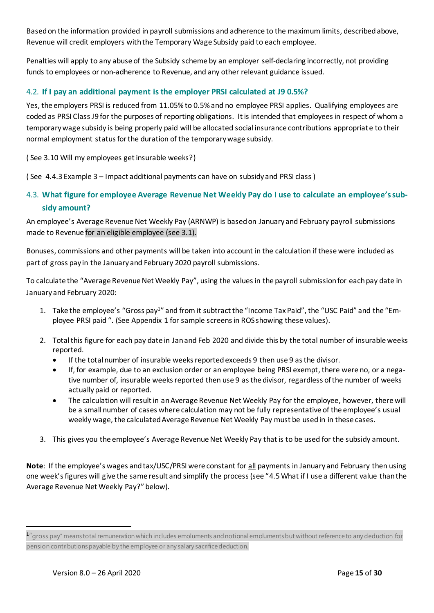Based on the information provided in payroll submissions and adherence to the maximum limits, described above, Revenue will credit employers with the Temporary Wage Subsidy paid to each employee.

Penalties will apply to any abuse of the Subsidy scheme by an employer self-declaring incorrectly, not providing funds to employees or non-adherence to Revenue, and any other relevant guidance issued.

# <span id="page-14-0"></span>4.2. **If I pay an additional payment is the employer PRSI calculated at J9 0.5%?**

Yes, the employers PRSI is reduced from 11.05% to 0.5% and no employee PRSI applies. Qualifying employees are coded as PRSI Class J9 for the purposes of reporting obligations. It is intended that employees in respect of whom a temporary wage subsidy is being properly paid will be allocated social insurance contributions appropriate to their normal employment status for the duration of the temporary wage subsidy.

( See [3.10](#page-11-6) [Will my employees get insurable weeks?\)](#page-11-6)

( See [4.4.3](#page-18-0) Example 3 – [Impact additional payments can have on subsidy and PRSI class](#page-18-0) )

# <span id="page-14-1"></span>4.3. **What figure for employee Average Revenue Net Weekly Pay do I use to calculate an employee's subsidy amount?**

An employee's Average Revenue Net Weekly Pay (ARNWP) is based on January and February payroll submissions made to Revenue for an eligible employee (see 3.1).

Bonuses, commissions and other payments will be taken into account in the calculation if these were included as part of gross pay in the January and February 2020 payroll submissions.

To calculate the "Average Revenue Net Weekly Pay", using the values in the payroll submission for each pay date in January and February 2020:

- 1. Take the employee's "Gross pay<sup>1</sup>" and from it subtract the "Income Tax Paid", the "USC Paid" and the "Employee PRSI paid ". (See Appendix 1 for sample screens in ROS showing these values).
- 2. Total this figure for each pay date in Jan and Feb 2020 and divide this by the total number of insurable weeks reported.
	- If the total number of insurable weeks reported exceeds 9 then use 9 as the divisor.
	- If, for example, due to an exclusion order or an employee being PRSI exempt, there were no, or a negative number of, insurable weeks reported then use 9 as the divisor, regardless of the number of weeks actually paid or reported.
	- The calculation will result in an Average Revenue Net Weekly Pay for the employee, however, there will be a small number of cases where calculation may not be fully representative of the employee's usual weekly wage, the calculated Average Revenue Net Weekly Pay must be used in in these cases.
- 3. This gives you the employee's Average Revenue Net Weekly Pay that is to be used for the subsidy amount.

**Note**: If the employee's wages and tax/USC/PRSI were constant for all payments in January and February then using one week's figures will give the same result and simplify the process (see "[4.5](#page-19-0)What if I use a different value than the Average Revenue Net Weekly Pay?" below).

 $1''$ gross pay" means total remuneration which includes emoluments and notional emoluments but without reference to any deduction for pension contributions payable by the employee or any salary sacrifice deduction.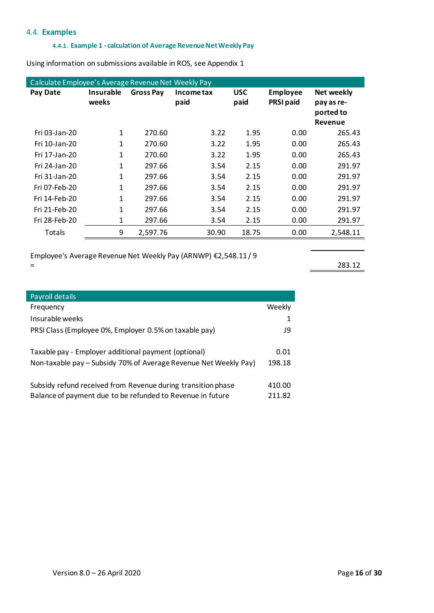#### <span id="page-15-1"></span><span id="page-15-0"></span>4.4. **Examples**

I

#### **4.4.1. Example 1 - calculation of Average Revenue Net Weekly Pay**

Using information on submissions available in ROS, se[e Appendix 1](#page-28-0)

| Calculate Employee's Average Revenue Net Weekly Pay |                           |                  |                    |                    |                                     |                                                         |  |  |
|-----------------------------------------------------|---------------------------|------------------|--------------------|--------------------|-------------------------------------|---------------------------------------------------------|--|--|
| Pay Date                                            | <b>Insurable</b><br>weeks | <b>Gross Pay</b> | Income tax<br>paid | <b>USC</b><br>paid | <b>Employee</b><br><b>PRSI paid</b> | <b>Net weekly</b><br>pay as re-<br>ported to<br>Revenue |  |  |
| Fri 03-Jan-20                                       | 1                         | 270.60           | 3.22               | 1.95               | 0.00                                | 265.43                                                  |  |  |
| Fri 10-Jan-20                                       | 1                         | 270.60           | 3.22               | 1.95               | 0.00                                | 265.43                                                  |  |  |
| Fri 17-Jan-20                                       | $\mathbf{1}$              | 270.60           | 3.22               | 1.95               | 0.00                                | 265.43                                                  |  |  |
| Fri 24-Jan-20                                       | 1                         | 297.66           | 3.54               | 2.15               | 0.00                                | 291.97                                                  |  |  |
| Fri 31-Jan-20                                       | 1                         | 297.66           | 3.54               | 2.15               | 0.00                                | 291.97                                                  |  |  |
| Fri 07-Feb-20                                       | 1                         | 297.66           | 3.54               | 2.15               | 0.00                                | 291.97                                                  |  |  |
| Fri 14-Feb-20                                       | 1                         | 297.66           | 3.54               | 2.15               | 0.00                                | 291.97                                                  |  |  |
| Fri 21-Feb-20                                       | $\mathbf{1}$              | 297.66           | 3.54               | 2.15               | 0.00                                | 291.97                                                  |  |  |
| Fri 28-Feb-20                                       | 1                         | 297.66           | 3.54               | 2.15               | 0.00                                | 291.97                                                  |  |  |
| Totals                                              | 9                         | 2,597.76         | 30.90              | 18.75              | 0.00                                | 2,548.11                                                |  |  |

Employee's Average Revenue Net Weekly Pay (ARNWP) €2,548.11 / 9  $=$  283.12

| Payroll details                                                  |        |  |  |  |  |
|------------------------------------------------------------------|--------|--|--|--|--|
| Frequency                                                        | Weekly |  |  |  |  |
| Insurable weeks                                                  | 1      |  |  |  |  |
| PRSI Class (Employee 0%, Employer 0.5% on taxable pay)           | J9     |  |  |  |  |
| Taxable pay - Employer additional payment (optional)             | 0.01   |  |  |  |  |
| Non-taxable pay – Subsidy 70% of Average Revenue Net Weekly Pay) |        |  |  |  |  |
| Subsidy refund received from Revenue during transition phase     | 410.00 |  |  |  |  |
| Balance of payment due to be refunded to Revenue in future       | 211.82 |  |  |  |  |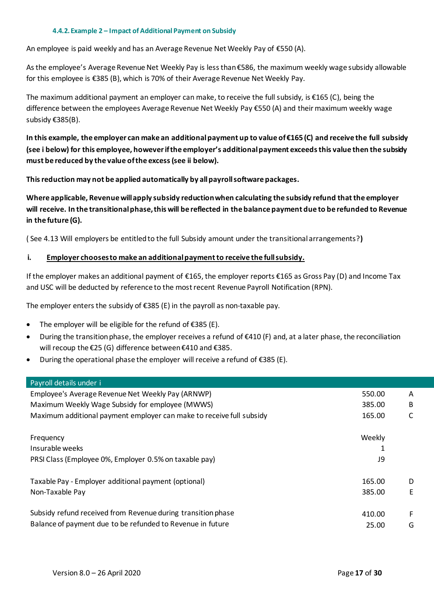#### **4.4.2.Example 2 – Impact of Additional Payment on Subsidy**

<span id="page-16-0"></span>An employee is paid weekly and has an Average Revenue Net Weekly Pay of €550 (A).

As the employee's Average Revenue Net Weekly Pay is less than €586, the maximum weekly wage subsidy allowable for this employee is €385 (B), which is 70% of their Average Revenue Net Weekly Pay.

The maximum additional payment an employer can make, to receive the full subsidy, is  $\epsilon$ 165 (C), being the difference between the employees Average Revenue Net Weekly Pay €550 (A) and their maximum weekly wage subsidy €385(B).

**In this example, the employer can make an additional payment up to value of €165 (C) and receive the full subsidy (see i below) for this employee, however if the employer's additional payment exceeds this value then the subsidy must be reduced by the value of the excess (see ii below).**

**This reduction may not be applied automatically by all payroll software packages.**

**Where applicable, Revenue will apply subsidy reduction when calculating the subsidy refund that the employer will receive. In the transitional phase, this will be reflected in the balance payment due to be refunded to Revenue in the future (G).** 

( See [4.13](#page-21-3) [Will employers be entitled to the full Subsidy amount under the transitional arrangements?](#page-21-3)**)**

#### **i. Employer chooses to make an additional payment to receive the full subsidy.**

If the employer makes an additional payment of €165, the employer reports €165 as Gross Pay (D) and Income Tax and USC will be deducted by reference to the most recent Revenue Payroll Notification (RPN).

The employer enters the subsidy of  $\epsilon$ 385 (E) in the payroll as non-taxable pay.

- The employer will be eligible for the refund of  $E$ 385 (E).
- During the transition phase, the employer receives a refund of €410 (F) and, at a later phase, the reconciliation will recoup the €25 (G) difference between €410 and €385.
- During the operational phase the employer will receive a refund of €385 (E).

#### Payroll details under i

| <u>Layı vil uctalis uliuci T</u>                                     |        |    |
|----------------------------------------------------------------------|--------|----|
| Employee's Average Revenue Net Weekly Pay (ARNWP)                    | 550.00 | A  |
| Maximum Weekly Wage Subsidy for employee (MWWS)                      | 385.00 | B  |
| Maximum additional payment employer can make to receive full subsidy | 165.00 | C  |
|                                                                      |        |    |
| Frequency                                                            | Weekly |    |
| Insurable weeks                                                      | 1      |    |
| PRSI Class (Employee 0%, Employer 0.5% on taxable pay)               | J9     |    |
|                                                                      |        |    |
| Taxable Pay - Employer additional payment (optional)                 | 165.00 | D  |
| Non-Taxable Pay                                                      | 385.00 | E. |
|                                                                      |        |    |
| Subsidy refund received from Revenue during transition phase         | 410.00 | F. |
| Balance of payment due to be refunded to Revenue in future           | 25.00  | G  |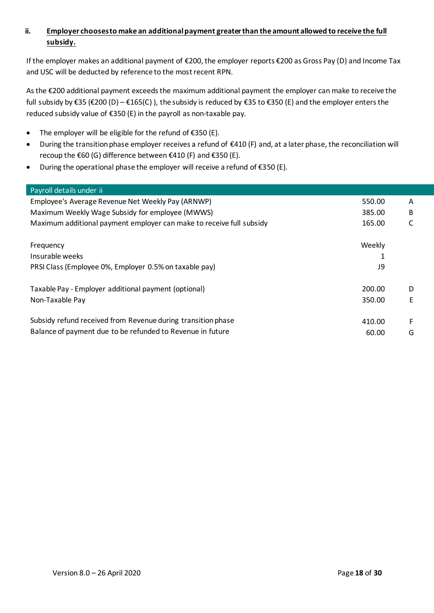# **ii. Employer chooses to make an additional payment greater than the amount allowed to receive the full subsidy.**

If the employer makes an additional payment of €200, the employer reports €200 as Gross Pay (D) and Income Tax and USC will be deducted by reference to the most recent RPN.

As the €200 additional payment exceeds the maximum additional payment the employer can make to receive the full subsidy by €35 (€200 (D) – €165(C) ), the subsidy is reduced by €35 to €350 (E) and the employer enters the reduced subsidy value of €350 (E) in the payroll as non-taxable pay.

- The employer will be eligible for the refund of  $E$ 350 (E).
- During the transition phase employer receives a refund of €410 (F) and, at a later phase, the reconciliation will recoup the €60 (G) difference between €410 (F) and €350 (E).
- During the operational phase the employer will receive a refund of €350 (E).

| Payroll details under ii                                             |        |   |
|----------------------------------------------------------------------|--------|---|
| Employee's Average Revenue Net Weekly Pay (ARNWP)                    | 550.00 | A |
| Maximum Weekly Wage Subsidy for employee (MWWS)                      | 385.00 | В |
| Maximum additional payment employer can make to receive full subsidy | 165.00 |   |
|                                                                      |        |   |
| Frequency                                                            | Weekly |   |
| Insurable weeks                                                      |        |   |
| PRSI Class (Employee 0%, Employer 0.5% on taxable pay)               | 19     |   |
|                                                                      |        |   |
| Taxable Pay - Employer additional payment (optional)                 | 200.00 | D |
| Non-Taxable Pay                                                      | 350.00 | E |
|                                                                      |        |   |
| Subsidy refund received from Revenue during transition phase         | 410.00 | F |
| Balance of payment due to be refunded to Revenue in future           | 60.00  | G |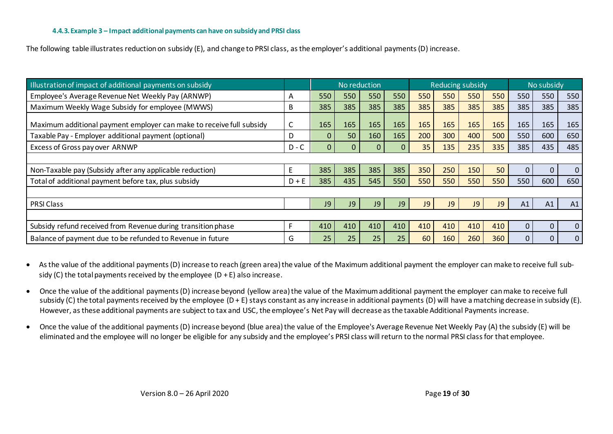The following table illustrates reduction on subsidy (E), and change to PRSI class, as the employer's additional payments (D) increase.

| Illustration of impact of additional payments on subsidy             |         | No reduction |              | <b>Reducing subsidy</b> |             |     | No subsidy |     |           |                |             |              |
|----------------------------------------------------------------------|---------|--------------|--------------|-------------------------|-------------|-----|------------|-----|-----------|----------------|-------------|--------------|
| Employee's Average Revenue Net Weekly Pay (ARNWP)                    | A       | 550          | 550          | 550                     | 550         | 550 | 550        | 550 | 550       | 550            | 550         | 550          |
| Maximum Weekly Wage Subsidy for employee (MWWS)                      | B       | 385          | 385          | 385                     | 385         | 385 | 385        | 385 | 385       | 385            | 385         | 385          |
| Maximum additional payment employer can make to receive full subsidy |         | 165          | 165          | 165                     | 165         | 165 | 165        | 165 | 165       | 165            | 165         | 165          |
| Taxable Pay - Employer additional payment (optional)                 | D       | $\mathbf{0}$ | 50           | 160                     | 165         | 200 | 300        | 400 | 500       | 550            | 600         | 650          |
| Excess of Gross pay over ARNWP                                       | $D - C$ | $\mathbf{0}$ | $\mathbf{0}$ | $\mathbf{0}$            | $\mathbf 0$ | 35  | 135        | 235 | 335       | 385            | 435         | 485          |
|                                                                      |         |              |              |                         |             |     |            |     |           |                |             |              |
| Non-Taxable pay (Subsidy after any applicable reduction)             | Е       | 385          | 385          | 385                     | 385         | 350 | 250        | 150 | 50        | $\overline{0}$ | $\mathbf 0$ | $\mathbf{0}$ |
| Total of additional payment before tax, plus subsidy                 | $D + E$ | 385          | 435          | 545                     | 550         | 550 | 550        | 550 | 550       | 550            | 600         | 650          |
|                                                                      |         |              |              |                         |             |     |            |     |           |                |             |              |
| <b>PRSI Class</b>                                                    |         | J9           | J9           | <b>J9</b>               | J9          | J9  | J9         | J9  | <b>J9</b> | A1             | A1          | A1           |
|                                                                      |         |              |              |                         |             |     |            |     |           |                |             |              |
| Subsidy refund received from Revenue during transition phase         |         | 410          | 410          | 410                     | 410         | 410 | 410        | 410 | 410       | 0              | 0           | $\mathbf{0}$ |
| Balance of payment due to be refunded to Revenue in future           | G       | 25           | 25           | 25                      | 25          | 60  | 160        | 260 | 360       | $\mathbf{0}$   | 0           | $\mathbf{0}$ |

<span id="page-18-0"></span>• As the value of the additional payments (D) increase to reach (green area) the value of the Maximum additional payment the employer can make to receive full subsidy (C) the total payments received by the employee  $(D + E)$  also increase.

- Once the value of the additional payments (D) increase beyond (yellow area) the value of the Maximum additional payment the employer can make to receive full subsidy (C) the total payments received by the employee (D + E) stays constant as any increase in additional payments (D) will have a matching decrease in subsidy (E). However, as these additional payments are subject to tax and USC, the employee's Net Pay will decrease as the taxable Additional Payments increase.
- Once the value of the additional payments (D) increase beyond (blue area) the value of the Employee's Average Revenue Net Weekly Pay (A) the subsidy (E) will be eliminated and the employee will no longer be eligible for any subsidy and the employee's PRSI class will return to the normal PRSI class for that employee.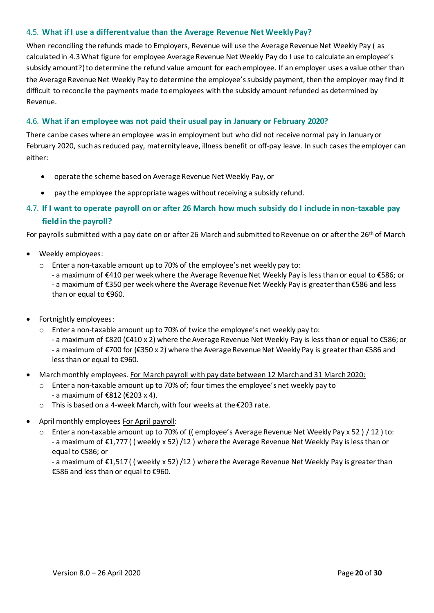# <span id="page-19-0"></span>4.5. **What if I use a different value than the Average Revenue Net Weekly Pay?**

When reconciling the refunds made to Employers, Revenue will use the Average Revenue Net Weekly Pay ( as calculated in [4.3What figure for employee Average Revenue Net Weekly Pay](#page-14-1) do I use to calculate an employee's [subsidy amount?\)](#page-14-1) to determine the refund value amount for each employee. If an employer uses a value other than the Average Revenue Net Weekly Pay to determine the employee's subsidy payment, then the employer may find it difficult to reconcile the payments made to employees with the subsidy amount refunded as determined by Revenue.

# <span id="page-19-1"></span>4.6. **What if an employee was not paid their usual pay in January or February 2020?**

There can be cases where an employee was in employment but who did not receive normal pay in January or February 2020, such as reduced pay, maternity leave, illness benefit or off-pay leave. In such cases the employer can either:

- operate the scheme based on Average Revenue Net Weekly Pay, or
- pay the employee the appropriate wages without receiving a subsidy refund.

# <span id="page-19-2"></span>4.7. **If I want to operate payroll on or after 26 March how much subsidy do I include in non-taxable pay field in the payroll?**

For payrolls submitted with a pay date on or after 26 March and submitted to Revenue on or after the 26<sup>th</sup> of March

- Weekly employees:
	- o Enter a non-taxable amount up to 70% of the employee's net weekly pay to:

- a maximum of €410 per week where the Average Revenue Net Weekly Pay is less than or equal to €586; or - a maximum of €350 per week where the Average Revenue Net Weekly Pay is greater than €586 and less than or equal to €960.

- Fortnightly employees:
	- o Enter a non-taxable amount up to 70% of twice the employee's net weekly pay to:
		- a maximum of €820 (€410 x 2) where the Average Revenue Net Weekly Pay is less than or equal to €586; or - a maximum of €700 for (€350 x 2) where the Average Revenue Net Weekly Pay is greater than €586 and less than or equal to €960.
- March monthly employees. For March payroll with pay date between 12 March and 31 March2020:
	- $\circ$  Enter a non-taxable amount up to 70% of; four times the employee's net weekly pay to - a maximum of €812 (€203 x 4).
	- o This is based on a 4-week March, with four weeks at the €203 rate.
- April monthly employees For April payroll:
	- o Enter a non-taxable amount up to 70% of (( employee's Average Revenue Net Weekly Pay x 52 ) / 12 ) to: - a maximum of €1,777 ( ( weekly x 52) /12 ) where the Average Revenue Net Weekly Pay is less than or equal to €586; or

- a maximum of €1,517 ( ( weekly x 52) /12 ) where the Average Revenue Net Weekly Pay is greater than €586 and less than or equal to €960.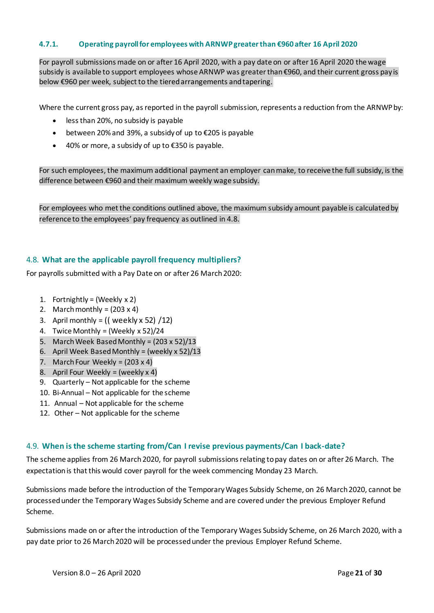#### <span id="page-20-0"></span>**4.7.1. Operating payroll for employees with ARNWP greater than €960 after 16 April 2020**

For payroll submissions made on or after 16 April 2020, with a pay date on or after 16 April 2020 the wage subsidy is available to support employees whose ARNWP was greater than €960, and their current gross pay is below €960 per week, subject to the tiered arrangements and tapering.

Where the current gross pay, as reported in the payroll submission, represents a reduction from the ARNWP by:

- less than 20%, no subsidy is payable
- between 20% and 39%, a subsidy of up to €205 is payable
- 40% or more, a subsidy of up to €350 is payable.

For such employees, the maximum additional payment an employer can make, to receive the full subsidy, is the difference between €960 and their maximum weekly wage subsidy.

For employees who met the conditions outlined above, the maximum subsidy amount payable is calculated by reference to the employees' pay frequency as outlined in 4.8.

#### <span id="page-20-1"></span>4.8. **What are the applicable payroll frequency multipliers?**

For payrolls submitted with a Pay Date on or after 26 March 2020:

- 1. Fortnightly = (Weekly  $x 2$ )
- 2. March monthly =  $(203 \times 4)$
- 3. April monthly =  $(($  weekly x 52 $)/12$
- 4. Twice Monthly = (Weekly x 52)/24
- 5. March Week Based Monthly =  $(203 \times 52)/13$
- 6. April Week Based Monthly = (weekly x 52)/13
- 7. March Four Weekly =  $(203 \times 4)$
- 8. April Four Weekly = (weekly  $x 4$ )
- 9. Quarterly Not applicable for the scheme
- 10. Bi-Annual Not applicable for the scheme
- 11. Annual Not applicable for the scheme
- 12. Other Not applicable for the scheme

#### <span id="page-20-2"></span>4.9. **When is the scheme starting from/Can I revise previous payments/Can I back-date?**

The scheme applies from 26 March 2020, for payroll submissions relating to pay dates on or after 26 March. The expectation is that this would cover payroll for the week commencing Monday 23 March.

Submissions made before the introduction of the Temporary Wages Subsidy Scheme, on 26 March 2020, cannot be processed under the Temporary Wages Subsidy Scheme and are covered under the previous Employer Refund Scheme.

Submissions made on or after the introduction of the Temporary Wages Subsidy Scheme, on 26 March 2020, with a pay date prior to 26 March 2020 will be processed under the previous Employer Refund Scheme.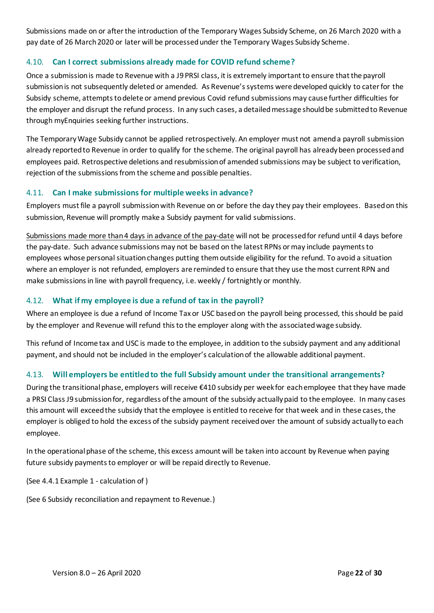Submissions made on or after the introduction of the Temporary Wages Subsidy Scheme, on 26 March 2020 with a pay date of 26 March 2020 or later will be processed under the Temporary Wages Subsidy Scheme.

# <span id="page-21-0"></span>4.10. **Can I correct submissions already made for COVID refund scheme?**

Once a submission is made to Revenue with a J9 PRSI class, it is extremely important to ensure that the payroll submission is not subsequently deleted or amended. As Revenue's systems were developed quickly to cater for the Subsidy scheme, attempts to delete or amend previous Covid refund submissions may cause further difficulties for the employer and disrupt the refund process. In any such cases, a detailed message should be submitted to Revenue through myEnquiries seeking further instructions.

The Temporary Wage Subsidy cannot be applied retrospectively. An employer must not amend a payroll submission already reported to Revenue in order to qualify for the scheme. The original payroll has already been processed and employees paid. Retrospective deletions and resubmission of amended submissions may be subject to verification, rejection of the submissions from the scheme and possible penalties.

# <span id="page-21-1"></span>4.11. **Can I make submissions for multiple weeks in advance?**

Employers must file a payroll submission with Revenue on or before the day they pay their employees. Based on this submission, Revenue will promptly make a Subsidy payment for valid submissions.

Submissions made more than 4 days in advance of the pay-date will not be processed for refund until 4 days before the pay-date. Such advance submissions may not be based on the latest RPNs or may include payments to employees whose personal situation changes putting them outside eligibility for the refund. To avoid a situation where an employer is not refunded, employers are reminded to ensure that they use the most current RPN and make submissions in line with payroll frequency, i.e. weekly / fortnightly or monthly.

# <span id="page-21-2"></span>4.12. **What if my employee is due a refund of tax in the payroll?**

Where an employee is due a refund of Income Tax or USC based on the payroll being processed, this should be paid by the employer and Revenue will refund this to the employer along with the associated wage subsidy.

This refund of Income tax and USC is made to the employee, in addition to the subsidy payment and any additional payment, and should not be included in the employer's calculation of the allowable additional payment.

# <span id="page-21-3"></span>4.13. **Will employers be entitled to the full Subsidy amount under the transitional arrangements?**

During the transitional phase, employers will receive €410 subsidy per week for each employee that they have made a PRSI Class J9 submission for, regardless of the amount of the subsidy actually paid to the employee. In many cases this amount will exceed the subsidy that the employee is entitled to receive for that week and in these cases, the employer is obliged to hold the excess of the subsidy payment received over the amount of subsidy actually to each employee.

In the operational phase of the scheme, this excess amount will be taken into account by Revenue when paying future subsidy payments to employer or will be repaid directly to Revenue.

(See [4.4.1](#page-15-1) Example 1 - [calculation of \)](#page-15-1)

(See [6](#page-26-0) [Subsidy reconciliation and repayment to Revenue.\)](#page-26-0)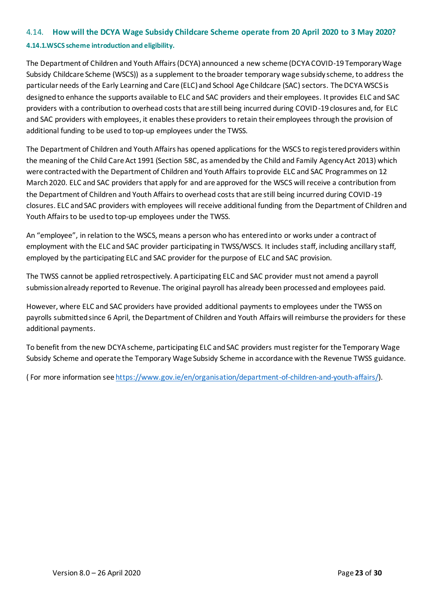# <span id="page-22-0"></span>4.14. **How will the DCYA Wage Subsidy Childcare Scheme operate from 20 April 2020 to 3 May 2020? 4.14.1.WSCS scheme introduction and eligibility.**

# <span id="page-22-1"></span>The Department of Children and Youth Affairs (DCYA) announced a new scheme (DCYA COVID-19 Temporary Wage

Subsidy Childcare Scheme (WSCS)) as a supplement to the broader temporary wage subsidy scheme, to address the particular needs of the Early Learning and Care (ELC) and School Age Childcare (SAC) sectors. The DCYA WSCS is designed to enhance the supports available to ELC and SAC providers and their employees. It provides ELC and SAC providers with a contribution to overhead costs that are still being incurred during COVID-19 closures and, for ELC and SAC providers with employees, it enables these providers to retain their employees through the provision of additional funding to be used to top-up employees under the TWSS.

The Department of Children and Youth Affairs has opened applications for the WSCS to registered providers within the meaning of the Child Care Act 1991 (Section 58C, as amended by the Child and Family Agency Act 2013) which were contracted with the Department of Children and Youth Affairs to provide ELC and SAC Programmes on 12 March 2020. ELC and SAC providers that apply for and are approved for the WSCS will receive a contribution from the Department of Children and Youth Affairs to overhead costs that are still being incurred during COVID-19 closures. ELC and SAC providers with employees will receive additional funding from the Department of Children and Youth Affairs to be used to top-up employees under the TWSS.

An "employee", in relation to the WSCS, means a person who has entered into or works under a contract of employment with the ELC and SAC provider participating in TWSS/WSCS. It includes staff, including ancillary staff, employed by the participating ELC and SAC provider for the purpose of ELC and SAC provision.

The TWSS cannot be applied retrospectively. A participating ELC and SAC provider must not amend a payroll submission already reported to Revenue. The original payroll has already been processed and employees paid.

However, where ELC and SAC providers have provided additional payments to employees under the TWSS on payrolls submitted since 6 April, the Department of Children and Youth Affairs will reimburse the providers for these additional payments.

To benefit from the new DCYA scheme, participating ELC and SAC providers must registerfor the Temporary Wage Subsidy Scheme and operate the Temporary Wage Subsidy Scheme in accordance with the Revenue TWSS guidance.

( For more information se[e https://www.gov.ie/en/organisation/department-of-children-and-youth-affairs/](https://www.gov.ie/en/organisation/department-of-children-and-youth-affairs/)).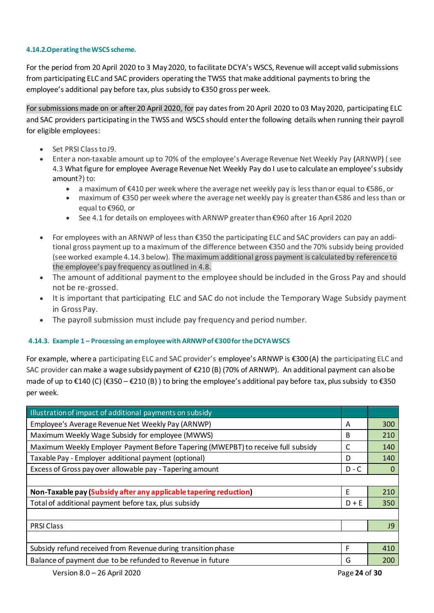#### <span id="page-23-0"></span>**4.14.2.Operating the WSCS scheme.**

For the period from 20 April 2020 to 3 May2020, to facilitate DCYA's WSCS, Revenue will accept valid submissions from participating ELC and SAC providers operating the TWSS that make additional payments to bring the employee's additional pay before tax, plus subsidy to €350 gross per week.

For submissions made on or after 20 April 2020, for pay dates from 20 April 2020 to 03 May 2020, participating ELC and SAC providers participating in the TWSS and WSCS should enter the following details when running their payroll for eligible employees:

- Set PRSI Class to J9.
- Enter a non-taxable amount up to 70% of the employee's Average Revenue Net Weekly Pay (ARNWP) ( see [4.3](#page-14-1) [What figure for employee Average Revenue Net Weekly Pay](#page-14-1) do I use to calculate an employee's subsidy [amount?\)](#page-14-1) to:
	- a maximum of €410 per week where the average net weekly pay is less than or equal to €586, or
	- maximum of €350 per week where the average net weekly pay is greater than €586 and less than or equal to €960, or
	- See 4.1 for details on employees with ARNWP greater than €960 after 16 April 2020
- For employees with an ARNWP of less than €350 the participating ELC and SAC providers can pay an additional gross payment up to a maximum of the difference between €350 and the 70% subsidy being provided (see worked exampl[e 4.14.3](#page-23-1) below). The maximum additional gross payment is calculated by reference to the employee's pay frequency as outlined in [4.8.](#page-20-1)
- The amount of additional payment to the employee should be included in the Gross Pay and should not be re-grossed.
- It is important that participating ELC and SAC do not include the Temporary Wage Subsidy payment in Gross Pay.
- The payroll submission must include pay frequency and period number.

# <span id="page-23-1"></span>**4.14.3. Example 1 – Processing an employee with ARNWP of €300 for the DCYA WSCS**

For example, where a participating ELC and SAC provider's employee's ARNWP is €300 (A) the participating ELC and SAC provider can make a wage subsidy payment of €210 (B) (70% of ARNWP). An additional payment can also be made of up to €140 (C) (€350 – €210 (B)) to bring the employee's additional pay before tax, plus subsidy to €350 per week.

| Illustration of impact of additional payments on subsidy                         |   |           |  |  |  |
|----------------------------------------------------------------------------------|---|-----------|--|--|--|
| Employee's Average Revenue Net Weekly Pay (ARNWP)                                | A | 300       |  |  |  |
| Maximum Weekly Wage Subsidy for employee (MWWS)                                  | B | 210       |  |  |  |
| Maximum Weekly Employer Payment Before Tapering (MWEPBT) to receive full subsidy | C | 140       |  |  |  |
| Taxable Pay - Employer additional payment (optional)                             | D | 140       |  |  |  |
| Excess of Gross pay over allowable pay - Tapering amount<br>$D - C$              |   |           |  |  |  |
|                                                                                  |   |           |  |  |  |
| Non-Taxable pay (Subsidy after any applicable tapering reduction)                | E | 210       |  |  |  |
| Total of additional payment before tax, plus subsidy<br>$D + E$                  |   |           |  |  |  |
|                                                                                  |   |           |  |  |  |
| <b>PRSI Class</b>                                                                |   |           |  |  |  |
|                                                                                  |   | <b>J9</b> |  |  |  |
|                                                                                  |   |           |  |  |  |
| Subsidy refund received from Revenue during transition phase                     | F | 410       |  |  |  |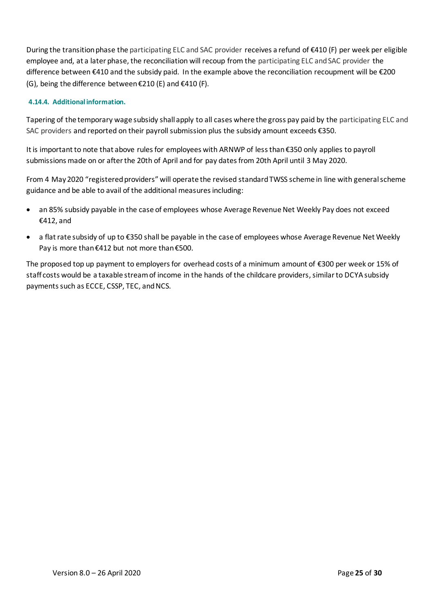During the transition phase the participating ELC and SAC provider receives a refund of €410 (F) per week per eligible employee and, at a later phase, the reconciliation will recoup from the participating ELC and SAC provider the difference between €410 and the subsidy paid. In the example above the reconciliation recoupment will be €200 (G), being the difference between  $\epsilon$ 210 (E) and  $\epsilon$ 410 (F).

# <span id="page-24-0"></span>**4.14.4. Additional information.**

Tapering of the temporary wage subsidy shall apply to all cases where the gross pay paid by the participating ELC and SAC providers and reported on their payroll submission plus the subsidy amount exceeds €350.

It is important to note that above rules for employees with ARNWP of less than €350 only applies to payroll submissions made on or after the 20th of April and for pay dates from 20th April until 3 May 2020.

From 4 May 2020 "registered providers" will operate the revised standard TWSS scheme in line with general scheme guidance and be able to avail of the additional measures including:

- an 85% subsidy payable in the case of employees whose Average Revenue Net Weekly Pay does not exceed €412, and
- a flat rate subsidy of up to €350 shall be payable in the case of employees whose Average Revenue Net Weekly Pay is more than €412 but not more than €500.

The proposed top up payment to employers for overhead costs of a minimum amount of €300 per week or 15% of staff costs would be a taxable stream of income in the hands of the childcare providers, similar to DCYA subsidy payments such as ECCE, CSSP, TEC, and NCS.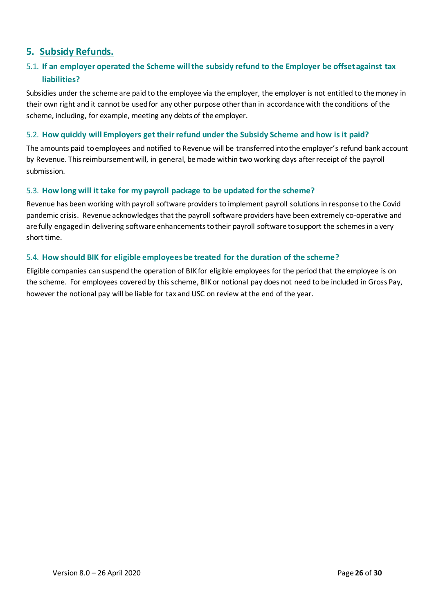# <span id="page-25-0"></span>**5. Subsidy Refunds.**

# <span id="page-25-1"></span>5.1. **If an employer operated the Scheme will the subsidy refund to the Employer be offset against tax liabilities?**

Subsidies under the scheme are paid to the employee via the employer, the employer is not entitled to the money in their own right and it cannot be used for any other purpose other than in accordance with the conditions of the scheme, including, for example, meeting any debts of the employer.

# <span id="page-25-2"></span>5.2. **How quickly will Employers get their refund under the Subsidy Scheme and how is it paid?**

The amounts paid to employees and notified to Revenue will be transferred into the employer's refund bank account by Revenue. This reimbursement will, in general, be made within two working days after receipt of the payroll submission.

# <span id="page-25-3"></span>5.3. **How long will it take for my payroll package to be updated for the scheme?**

Revenue has been working with payroll software providers to implement payroll solutions in response to the Covid pandemic crisis. Revenue acknowledges that the payroll software providers have been extremely co-operative and are fully engaged in delivering software enhancements to their payroll software to support the schemes in a very short time.

# <span id="page-25-4"></span>5.4. **How should BIK for eligible employees be treated for the duration of the scheme?**

Eligible companies can suspend the operation of BIK for eligible employees for the period that the employee is on the scheme. For employees covered by this scheme, BIK or notional pay does not need to be included in Gross Pay, however the notional pay will be liable for tax and USC on review at the end of the year.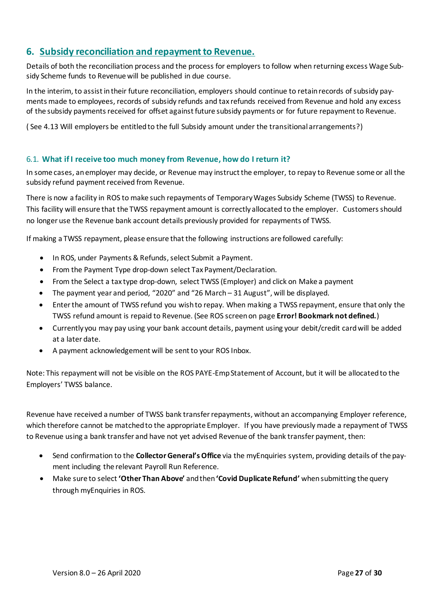# <span id="page-26-0"></span>**6. Subsidy reconciliation and repayment to Revenue.**

Details of both the reconciliation process and the process for employers to follow when returning excess Wage Subsidy Scheme funds to Revenue will be published in due course.

In the interim, to assist in their future reconciliation, employers should continue to retain records of subsidy payments made to employees, records of subsidy refunds and tax refunds received from Revenue and hold any excess of the subsidy payments received for offset against future subsidy payments or for future repayment to Revenue.

( See [4.13](#page-21-3) [Will employers be entitled to the full Subsidy amount under the transitional arrangements?](#page-21-3))

# <span id="page-26-1"></span>6.1. **What if I receive too much money from Revenue, how do I return it?**

In some cases, an employer may decide, or Revenue may instruct the employer, to repay to Revenue some or all the subsidy refund payment received from Revenue.

There is now a facility in ROS to make such repayments of Temporary Wages Subsidy Scheme (TWSS) to Revenue. This facility will ensure that the TWSS repayment amount is correctly allocated to the employer. Customers should no longer use the Revenue bank account details previously provided for repayments of TWSS.

If making a TWSS repayment, please ensure that the following instructions are followed carefully:

- In ROS, under Payments & Refunds, select Submit a Payment.
- From the Payment Type drop-down select Tax Payment/Declaration.
- From the Select a tax type drop-down, select TWSS (Employer) and click on Make a payment
- The payment year and period, "2020" and "26 March 31 August", will be displayed.
- Enter the amount of TWSS refund you wish to repay. When making a TWSS repayment, ensure that only the TWSS refund amount is repaid to Revenue. (See ROS screen on page **Error! Bookmark not defined.**)
- Currently you may pay using your bank account details, payment using your debit/credit card will be added at a later date.
- A payment acknowledgement will be sent to your ROS Inbox.

Note: This repayment will not be visible on the ROS PAYE-Emp Statement of Account, but it will be allocated to the Employers' TWSS balance.

Revenue have received a number of TWSS bank transfer repayments, without an accompanying Employer reference, which therefore cannot be matched to the appropriate Employer. If you have previously made a repayment of TWSS to Revenue using a bank transfer and have not yet advised Revenue of the bank transfer payment, then:

- Send confirmation to the **Collector General's Office** via the myEnquiries system, providing details of the payment including the relevant Payroll Run Reference.
- Make sure to select **'Other Than Above'** and then **'Covid Duplicate Refund'** when submitting the query through myEnquiries in ROS.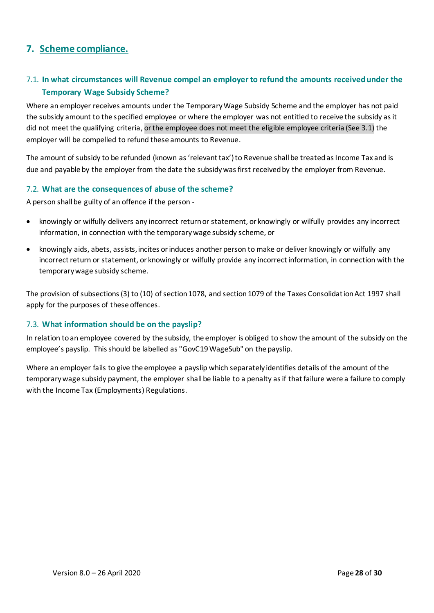# <span id="page-27-0"></span>**7. Scheme compliance.**

# <span id="page-27-1"></span>7.1. **In what circumstances will Revenue compel an employer to refund the amounts received under the Temporary Wage Subsidy Scheme?**

Where an employer receives amounts under the Temporary Wage Subsidy Scheme and the employer has not paid the subsidy amount to the specified employee or where the employer was not entitled to receive the subsidy as it did not meet the qualifying criteria, or the employee does not meet the eligible employee criteria (See 3.1) the employer will be compelled to refund these amounts to Revenue.

The amount of subsidy to be refunded (known as 'relevant tax') to Revenue shall be treated as Income Tax and is due and payable by the employer from the date the subsidy was first received by the employer from Revenue.

# <span id="page-27-2"></span>7.2. **What are the consequences of abuse of the scheme?**

A person shall be guilty of an offence if the person -

- knowingly or wilfully delivers any incorrect return or statement, or knowingly or wilfully provides any incorrect information, in connection with the temporary wage subsidy scheme, or
- knowingly aids, abets, assists, incites or induces another person to make or deliver knowingly or wilfully any incorrect return or statement, or knowingly or wilfully provide any incorrect information, in connection with the temporary wage subsidy scheme.

The provision of subsections (3) to (10) of section 1078, and section 1079 of the Taxes Consolidation Act 1997 shall apply for the purposes of these offences.

# <span id="page-27-3"></span>7.3. **What information should be on the payslip?**

In relation to an employee covered by the subsidy, the employer is obliged to show the amount of the subsidy on the employee's payslip. This should be labelled as "GovC19 WageSub" on the payslip.

Where an employer fails to give the employee a payslip which separately identifies details of the amount of the temporary wage subsidy payment, the employer shall be liable to a penalty as if that failure were a failure to comply with the Income Tax (Employments) Regulations.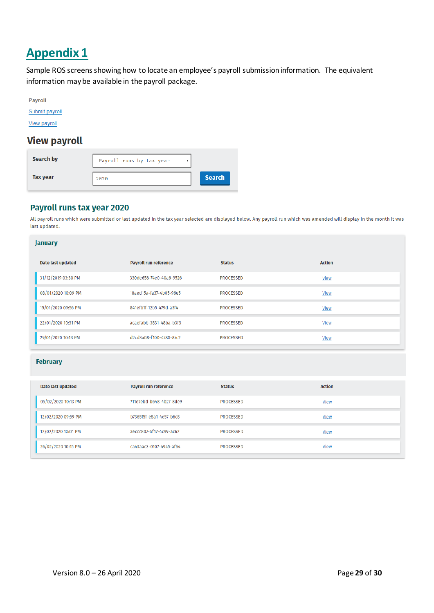# <span id="page-28-0"></span>**Appendix 1**

Sample ROS screens showing how to locate an employee's payroll submission information. The equivalent information may be available in the payroll package.

|  | - - |  |
|--|-----|--|
|  |     |  |

Submit payroll

View payroll

# **View payroll**

| Search by       | Payroll runs by tax year |               |
|-----------------|--------------------------|---------------|
| <b>Tax year</b> | 2020                     | <b>Search</b> |

# Payroll runs tax year 2020

All payroll runs which were submitted or last updated in the tax year selected are displayed below. Any payroll run which was amended will display in the month it was last updated.

| <b>January</b>      |                              |                  |               |
|---------------------|------------------------------|------------------|---------------|
| Date last updated   | <b>Payroll run reference</b> | <b>Status</b>    | <b>Action</b> |
| 31/12/2019 03:30 PM | 330de658-74e0-40a6-9526      | <b>PROCESSED</b> | View          |
| 08/01/2020 10:09 PM | 18aed15a-fa37-4b05-96e5      | <b>PROCESSED</b> | View          |
| 15/01/2020 09:56 PM | 841efb1f-12b5-479d-a3f4      | <b>PROCESSED</b> | View          |
| 22/01/2020 10:31 PM | acaefabb-3831-48ba-b3f3      | <b>PROCESSED</b> | View          |
| 29/01/2020 10:13 PM | d2cd3a08-f100-4780-87c2      | <b>PROCESSED</b> | View          |

#### **February**

| Date last updated   | <b>Payroll run reference</b> | <b>Status</b>    | <b>Action</b> |
|---------------------|------------------------------|------------------|---------------|
| 05/02/2020 10:13 PM | 711e7ebd-b648-4b27-8de9      | <b>PROCESSED</b> | View          |
| 12/02/2020 09:59 PM | b7365f5f-e8a1-4e57-b6c8      | <b>PROCESSED</b> | View          |
| 12/02/2020 10:01 PM | 3eccc807-af17-4c99-ac62      | <b>PROCESSED</b> | <b>View</b>   |
| 26/02/2020 10:15 PM | ca43aac3-0107-4945-af64      | <b>PROCESSED</b> | View          |